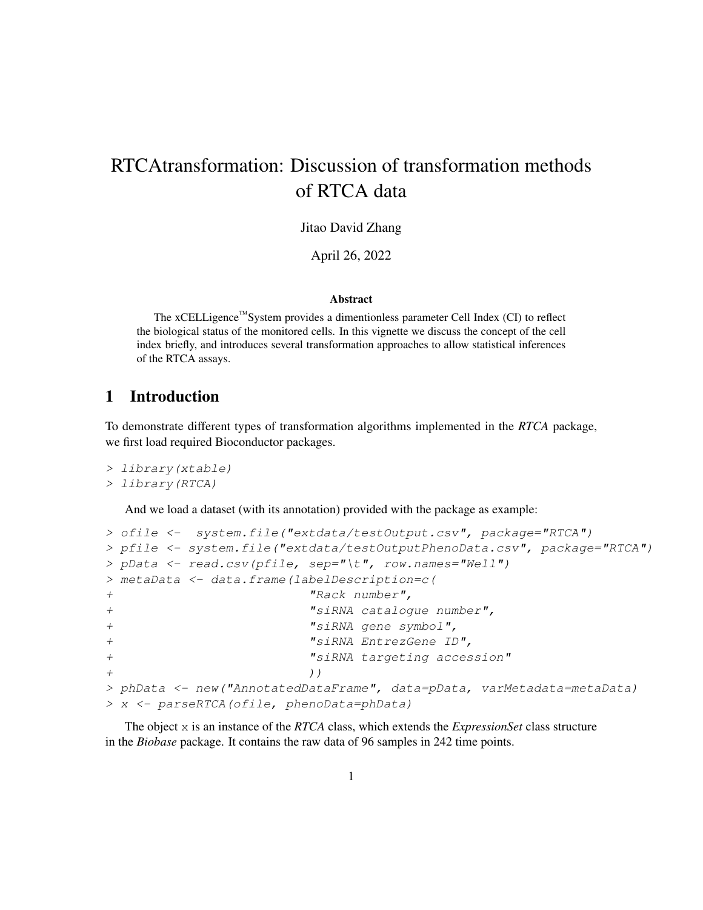# RTCAtransformation: Discussion of transformation methods of RTCA data

Jitao David Zhang

April 26, 2022

#### Abstract

The xCELLigence™System provides a dimentionless parameter Cell Index (CI) to reflect the biological status of the monitored cells. In this vignette we discuss the concept of the cell index briefly, and introduces several transformation approaches to allow statistical inferences of the RTCA assays.

## 1 Introduction

To demonstrate different types of transformation algorithms implemented in the *RTCA* package, we first load required Bioconductor packages.

```
> library(xtable)
> library(RTCA)
```
And we load a dataset (with its annotation) provided with the package as example:

```
> ofile <- system.file("extdata/testOutput.csv", package="RTCA")
> pfile <- system.file("extdata/testOutputPhenoData.csv", package="RTCA")
> pData <- read.csv(pfile, sep="\t", row.names="Well")
> metaData <- data.frame(labelDescription=c(
+ "Rack number",
+ "siRNA catalogue number",
+ "siRNA gene symbol",
+ "siRNA EntrezGene ID",
+ "siRNA targeting accession"
+ ) )
> phData <- new("AnnotatedDataFrame", data=pData, varMetadata=metaData)
> x <- parseRTCA(ofile, phenoData=phData)
```
The object x is an instance of the *RTCA* class, which extends the *ExpressionSet* class structure in the *Biobase* package. It contains the raw data of 96 samples in 242 time points.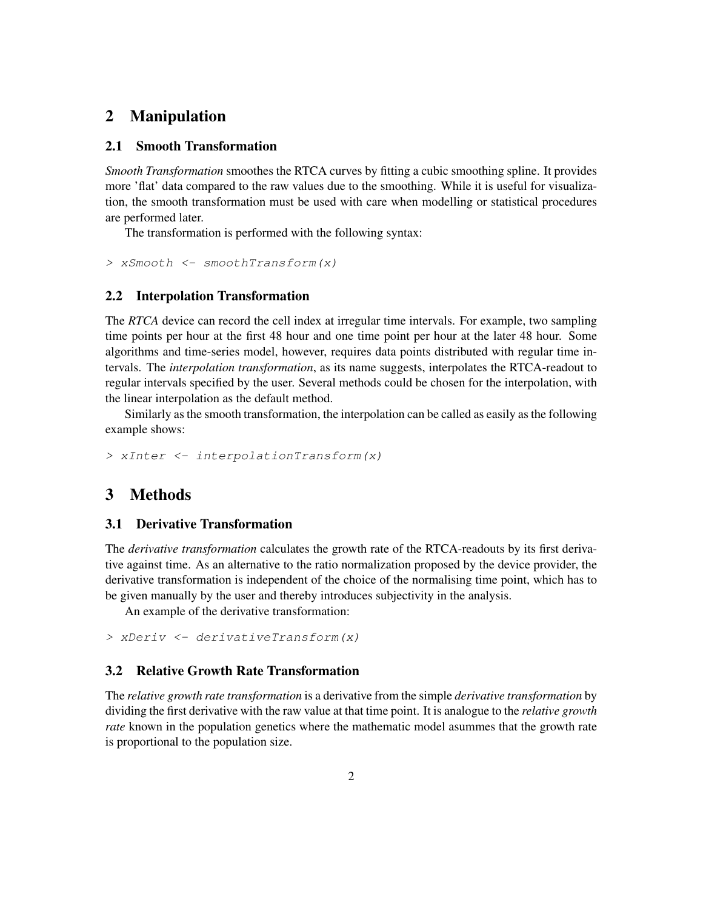## 2 Manipulation

#### 2.1 Smooth Transformation

*Smooth Transformation* smoothes the RTCA curves by fitting a cubic smoothing spline. It provides more 'flat' data compared to the raw values due to the smoothing. While it is useful for visualization, the smooth transformation must be used with care when modelling or statistical procedures are performed later.

The transformation is performed with the following syntax:

> xSmooth <- smoothTransform(x)

#### 2.2 Interpolation Transformation

The *RTCA* device can record the cell index at irregular time intervals. For example, two sampling time points per hour at the first 48 hour and one time point per hour at the later 48 hour. Some algorithms and time-series model, however, requires data points distributed with regular time intervals. The *interpolation transformation*, as its name suggests, interpolates the RTCA-readout to regular intervals specified by the user. Several methods could be chosen for the interpolation, with the linear interpolation as the default method.

Similarly as the smooth transformation, the interpolation can be called as easily as the following example shows:

> xInter <- interpolationTransform(x)

## 3 Methods

### 3.1 Derivative Transformation

The *derivative transformation* calculates the growth rate of the RTCA-readouts by its first derivative against time. As an alternative to the ratio normalization proposed by the device provider, the derivative transformation is independent of the choice of the normalising time point, which has to be given manually by the user and thereby introduces subjectivity in the analysis.

An example of the derivative transformation:

> xDeriv <- derivativeTransform(x)

#### 3.2 Relative Growth Rate Transformation

The *relative growth rate transformation* is a derivative from the simple *derivative transformation* by dividing the first derivative with the raw value at that time point. It is analogue to the *relative growth rate* known in the population genetics where the mathematic model asummes that the growth rate is proportional to the population size.